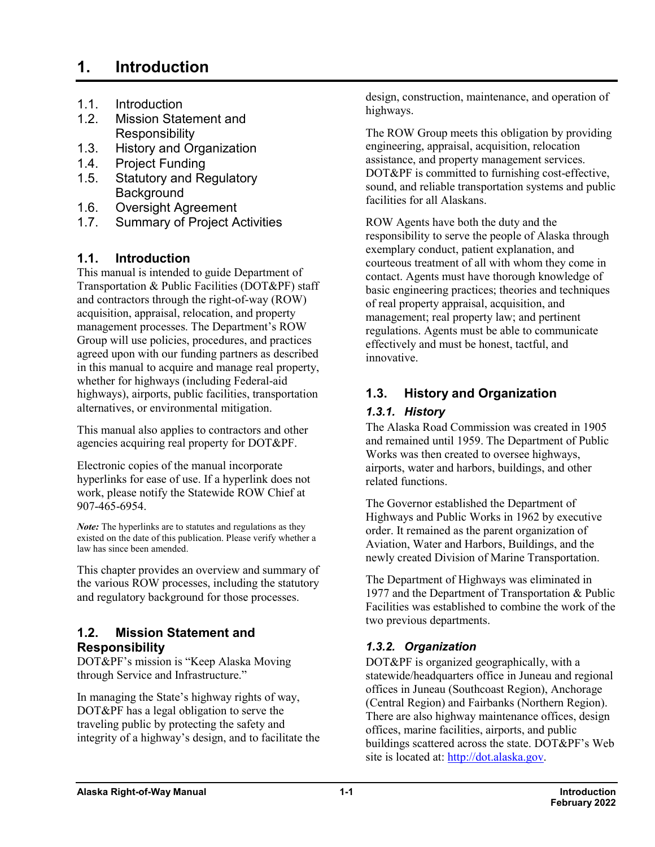# **1. Introduction**

- 1.1. [Introduction](#page-0-0)
- 1.2. [Mission Statement and](#page-0-1)  **[Responsibility](#page-0-1)**
- 1.3. [History and Organization](#page-0-2)
- 1.4. [Project Funding](#page-5-0)
- 1.5. Statutory and Regulatory **Background**
- 1.6. [Oversight Agreement](#page-5-1)
- 1.7. [Summary of Project Activities](#page-5-2)

## <span id="page-0-0"></span>**1.1. Introduction**

This manual is intended to guide Department of Transportation & Public Facilities (DOT&PF) staff and contractors through the right-of-way (ROW) acquisition, appraisal, relocation, and property management processes. The Department's ROW Group will use policies, procedures, and practices agreed upon with our funding partners as described in this manual to acquire and manage real property, whether for highways (including Federal-aid highways), airports, public facilities, transportation alternatives, or environmental mitigation.

This manual also applies to contractors and other agencies acquiring real property for DOT&PF.

Electronic copies of the manual incorporate hyperlinks for ease of use. If a hyperlink does not work, please notify the Statewide ROW Chief at 907-465-6954.

*Note:* The hyperlinks are to statutes and regulations as they existed on the date of this publication. Please verify whether a law has since been amended.

This chapter provides an overview and summary of the various ROW processes, including the statutory and regulatory background for those processes.

#### <span id="page-0-1"></span>**1.2. Mission Statement and Responsibility**

DOT&PF's mission is "Keep Alaska Moving through Service and Infrastructure."

In managing the State's highway rights of way, DOT&PF has a legal obligation to serve the traveling public by protecting the safety and integrity of a highway's design, and to facilitate the design, construction, maintenance, and operation of highways.

The ROW Group meets this obligation by providing engineering, appraisal, acquisition, relocation assistance, and property management services. DOT&PF is committed to furnishing cost-effective, sound, and reliable transportation systems and public facilities for all Alaskans.

ROW Agents have both the duty and the responsibility to serve the people of Alaska through exemplary conduct, patient explanation, and courteous treatment of all with whom they come in contact. Agents must have thorough knowledge of basic engineering practices; theories and techniques of real property appraisal, acquisition, and management; real property law; and pertinent regulations. Agents must be able to communicate effectively and must be honest, tactful, and innovative.

# <span id="page-0-2"></span>**1.3. History and Organization**

#### *1.3.1. History*

The Alaska Road Commission was created in 1905 and remained until 1959. The Department of Public Works was then created to oversee highways, airports, water and harbors, buildings, and other related functions.

The Governor established the Department of Highways and Public Works in 1962 by executive order. It remained as the parent organization of Aviation, Water and Harbors, Buildings, and the newly created Division of Marine Transportation.

The Department of Highways was eliminated in 1977 and the Department of Transportation & Public Facilities was established to combine the work of the two previous departments.

# *1.3.2. Organization*

DOT&PF is organized geographically, with a statewide/headquarters office in Juneau and regional offices in Juneau (Southcoast Region), Anchorage (Central Region) and Fairbanks (Northern Region). There are also highway maintenance offices, design offices, marine facilities, airports, and public buildings scattered across the state. DOT&PF's Web site is located at: [http://dot.alaska.gov.](http://dot.alaska.gov/)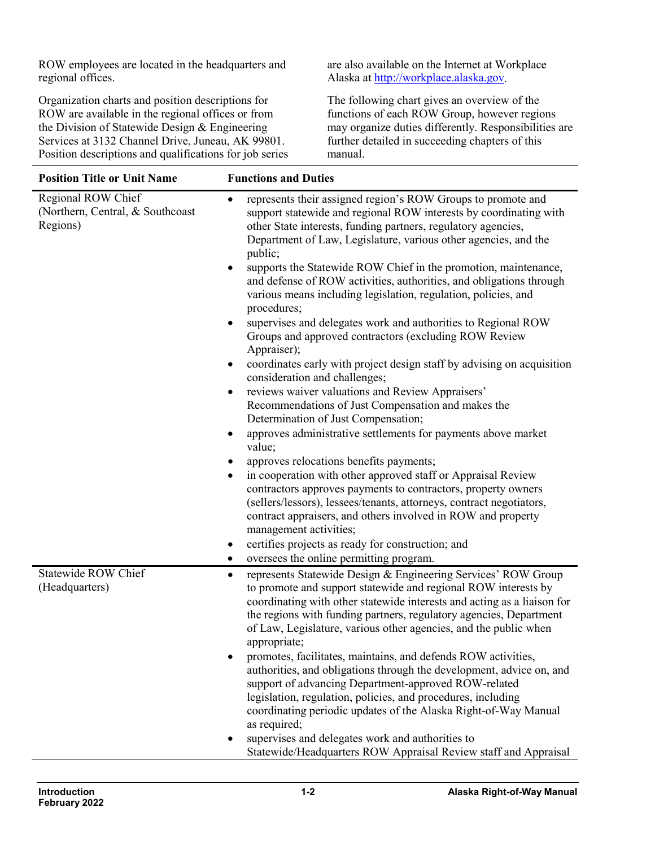ROW employees are located in the headquarters and regional offices.

Organization charts and position descriptions for ROW are available in the regional offices or from the Division of Statewide Design & Engineering Services at 3132 Channel Drive, Juneau, AK 99801. Position descriptions and qualifications for job series are also available on the Internet at Workplace Alaska at [http://workplace.alaska.gov.](http://workplace.alaska.gov/)

The following chart gives an overview of the functions of each ROW Group, however regions may organize duties differently. Responsibilities are further detailed in succeeding chapters of this manual.

| <b>Position Title or Unit Name</b>                                 | <b>Functions and Duties</b>                                                                                                                                                                                                                                                                                                                                                                          |
|--------------------------------------------------------------------|------------------------------------------------------------------------------------------------------------------------------------------------------------------------------------------------------------------------------------------------------------------------------------------------------------------------------------------------------------------------------------------------------|
| Regional ROW Chief<br>(Northern, Central, & Southcoast<br>Regions) | represents their assigned region's ROW Groups to promote and<br>$\bullet$<br>support statewide and regional ROW interests by coordinating with<br>other State interests, funding partners, regulatory agencies,<br>Department of Law, Legislature, various other agencies, and the<br>public;                                                                                                        |
|                                                                    | supports the Statewide ROW Chief in the promotion, maintenance,<br>and defense of ROW activities, authorities, and obligations through<br>various means including legislation, regulation, policies, and<br>procedures;                                                                                                                                                                              |
|                                                                    | supervises and delegates work and authorities to Regional ROW<br>Groups and approved contractors (excluding ROW Review<br>Appraiser);                                                                                                                                                                                                                                                                |
|                                                                    | coordinates early with project design staff by advising on acquisition<br>consideration and challenges;                                                                                                                                                                                                                                                                                              |
|                                                                    | reviews waiver valuations and Review Appraisers'<br>$\bullet$<br>Recommendations of Just Compensation and makes the<br>Determination of Just Compensation;<br>approves administrative settlements for payments above market                                                                                                                                                                          |
|                                                                    | value;<br>approves relocations benefits payments;                                                                                                                                                                                                                                                                                                                                                    |
|                                                                    | in cooperation with other approved staff or Appraisal Review                                                                                                                                                                                                                                                                                                                                         |
|                                                                    | contractors approves payments to contractors, property owners<br>(sellers/lessors), lessees/tenants, attorneys, contract negotiators,<br>contract appraisers, and others involved in ROW and property<br>management activities;                                                                                                                                                                      |
|                                                                    | certifies projects as ready for construction; and                                                                                                                                                                                                                                                                                                                                                    |
|                                                                    | oversees the online permitting program.<br>٠                                                                                                                                                                                                                                                                                                                                                         |
| <b>Statewide ROW Chief</b><br>(Headquarters)                       | represents Statewide Design & Engineering Services' ROW Group<br>٠<br>to promote and support statewide and regional ROW interests by<br>coordinating with other statewide interests and acting as a liaison for<br>the regions with funding partners, regulatory agencies, Department<br>of Law, Legislature, various other agencies, and the public when<br>appropriate;                            |
|                                                                    | promotes, facilitates, maintains, and defends ROW activities,<br>authorities, and obligations through the development, advice on, and<br>support of advancing Department-approved ROW-related<br>legislation, regulation, policies, and procedures, including<br>coordinating periodic updates of the Alaska Right-of-Way Manual<br>as required;<br>supervises and delegates work and authorities to |
|                                                                    | Statewide/Headquarters ROW Appraisal Review staff and Appraisal                                                                                                                                                                                                                                                                                                                                      |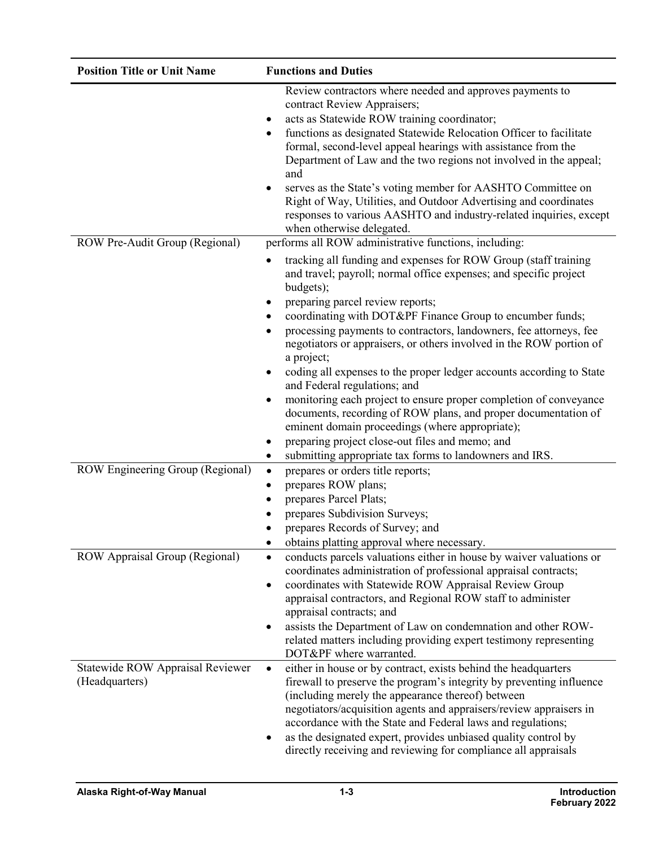| <b>Position Title or Unit Name</b>                                 | <b>Functions and Duties</b>                                                                                                                                                                                                                                                                                                                                                                                                                                                                                                                                                                                                                                                                                                                                                                                                                                                                 |
|--------------------------------------------------------------------|---------------------------------------------------------------------------------------------------------------------------------------------------------------------------------------------------------------------------------------------------------------------------------------------------------------------------------------------------------------------------------------------------------------------------------------------------------------------------------------------------------------------------------------------------------------------------------------------------------------------------------------------------------------------------------------------------------------------------------------------------------------------------------------------------------------------------------------------------------------------------------------------|
| ROW Pre-Audit Group (Regional)                                     | Review contractors where needed and approves payments to<br>contract Review Appraisers;<br>acts as Statewide ROW training coordinator;<br>functions as designated Statewide Relocation Officer to facilitate<br>٠<br>formal, second-level appeal hearings with assistance from the<br>Department of Law and the two regions not involved in the appeal;<br>and<br>serves as the State's voting member for AASHTO Committee on<br>Right of Way, Utilities, and Outdoor Advertising and coordinates<br>responses to various AASHTO and industry-related inquiries, except<br>when otherwise delegated.<br>performs all ROW administrative functions, including:                                                                                                                                                                                                                               |
|                                                                    | tracking all funding and expenses for ROW Group (staff training<br>and travel; payroll; normal office expenses; and specific project<br>budgets);<br>preparing parcel review reports;<br>coordinating with DOT&PF Finance Group to encumber funds;<br>$\bullet$<br>processing payments to contractors, landowners, fee attorneys, fee<br>$\bullet$<br>negotiators or appraisers, or others involved in the ROW portion of<br>a project;<br>coding all expenses to the proper ledger accounts according to State<br>$\bullet$<br>and Federal regulations; and<br>monitoring each project to ensure proper completion of conveyance<br>٠<br>documents, recording of ROW plans, and proper documentation of<br>eminent domain proceedings (where appropriate);<br>preparing project close-out files and memo; and<br>٠<br>submitting appropriate tax forms to landowners and IRS.<br>$\bullet$ |
| ROW Engineering Group (Regional)<br>ROW Appraisal Group (Regional) | prepares or orders title reports;<br>$\bullet$<br>prepares ROW plans;<br>٠<br>prepares Parcel Plats;<br>٠<br>prepares Subdivision Surveys;<br>prepares Records of Survey; and<br>obtains platting approval where necessary.<br>conducts parcels valuations either in house by waiver valuations or<br>$\bullet$<br>coordinates administration of professional appraisal contracts;                                                                                                                                                                                                                                                                                                                                                                                                                                                                                                          |
|                                                                    | coordinates with Statewide ROW Appraisal Review Group<br>٠<br>appraisal contractors, and Regional ROW staff to administer<br>appraisal contracts; and<br>assists the Department of Law on condemnation and other ROW-<br>٠<br>related matters including providing expert testimony representing<br>DOT&PF where warranted.                                                                                                                                                                                                                                                                                                                                                                                                                                                                                                                                                                  |
| Statewide ROW Appraisal Reviewer<br>(Headquarters)                 | either in house or by contract, exists behind the headquarters<br>$\bullet$<br>firewall to preserve the program's integrity by preventing influence<br>(including merely the appearance thereof) between<br>negotiators/acquisition agents and appraisers/review appraisers in<br>accordance with the State and Federal laws and regulations;<br>as the designated expert, provides unbiased quality control by<br>directly receiving and reviewing for compliance all appraisals                                                                                                                                                                                                                                                                                                                                                                                                           |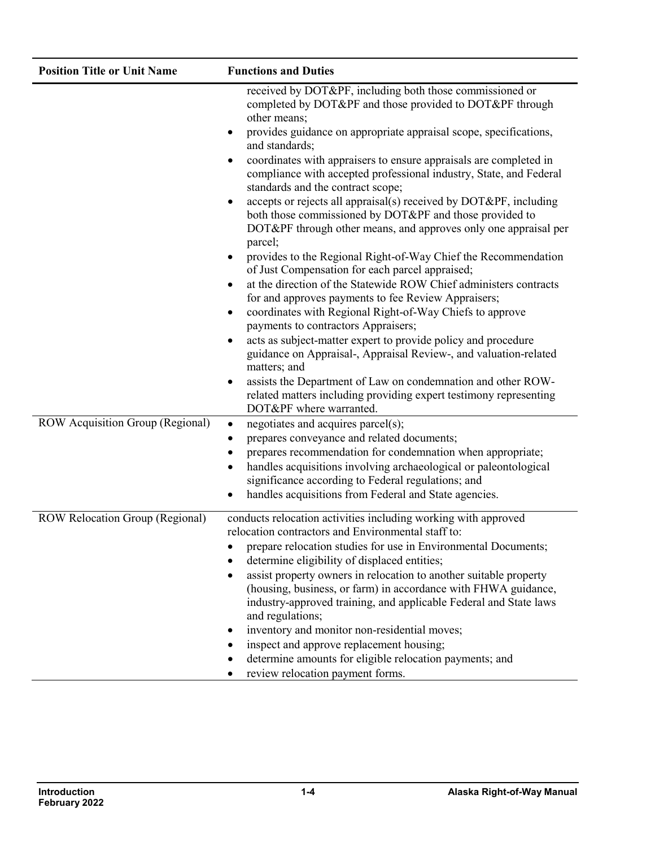| <b>Position Title or Unit Name</b> | <b>Functions and Duties</b>                                                                                                                                                                                                                                                                                                                                                                                                                                                                                                                                                                                                                                                                                                                                                                                                                                                                                                                                                                                                                                                                                                                     |
|------------------------------------|-------------------------------------------------------------------------------------------------------------------------------------------------------------------------------------------------------------------------------------------------------------------------------------------------------------------------------------------------------------------------------------------------------------------------------------------------------------------------------------------------------------------------------------------------------------------------------------------------------------------------------------------------------------------------------------------------------------------------------------------------------------------------------------------------------------------------------------------------------------------------------------------------------------------------------------------------------------------------------------------------------------------------------------------------------------------------------------------------------------------------------------------------|
|                                    | received by DOT&PF, including both those commissioned or<br>completed by DOT&PF and those provided to DOT&PF through<br>other means;<br>provides guidance on appropriate appraisal scope, specifications,<br>and standards;<br>coordinates with appraisers to ensure appraisals are completed in<br>compliance with accepted professional industry, State, and Federal<br>standards and the contract scope;<br>accepts or rejects all appraisal(s) received by DOT&PF, including<br>$\bullet$<br>both those commissioned by DOT&PF and those provided to<br>DOT&PF through other means, and approves only one appraisal per<br>parcel;<br>provides to the Regional Right-of-Way Chief the Recommendation<br>of Just Compensation for each parcel appraised;<br>at the direction of the Statewide ROW Chief administers contracts<br>for and approves payments to fee Review Appraisers;<br>coordinates with Regional Right-of-Way Chiefs to approve<br>payments to contractors Appraisers;<br>acts as subject-matter expert to provide policy and procedure<br>guidance on Appraisal-, Appraisal Review-, and valuation-related<br>matters; and |
|                                    | assists the Department of Law on condemnation and other ROW-<br>related matters including providing expert testimony representing                                                                                                                                                                                                                                                                                                                                                                                                                                                                                                                                                                                                                                                                                                                                                                                                                                                                                                                                                                                                               |
| ROW Acquisition Group (Regional)   | DOT&PF where warranted.<br>negotiates and acquires parcel(s);<br>٠<br>prepares conveyance and related documents;<br>prepares recommendation for condemnation when appropriate;<br>handles acquisitions involving archaeological or paleontological<br>significance according to Federal regulations; and<br>handles acquisitions from Federal and State agencies.                                                                                                                                                                                                                                                                                                                                                                                                                                                                                                                                                                                                                                                                                                                                                                               |
| ROW Relocation Group (Regional)    | conducts relocation activities including working with approved<br>relocation contractors and Environmental staff to:<br>prepare relocation studies for use in Environmental Documents;<br>determine eligibility of displaced entities;<br>assist property owners in relocation to another suitable property<br>(housing, business, or farm) in accordance with FHWA guidance,<br>industry-approved training, and applicable Federal and State laws<br>and regulations;<br>inventory and monitor non-residential moves;<br>inspect and approve replacement housing;<br>determine amounts for eligible relocation payments; and<br>review relocation payment forms.                                                                                                                                                                                                                                                                                                                                                                                                                                                                               |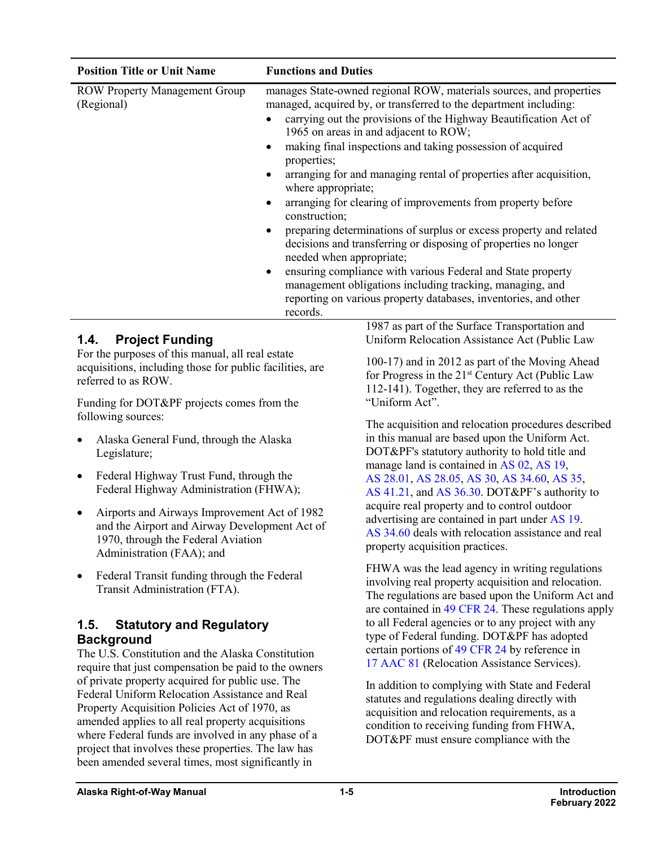| <b>Position Title or Unit Name</b>                 | <b>Functions and Duties</b>                                                                                                                                                                                                                                                                                                                                                                                                                                                                                                                                                                                                                                                                                                                                                                                                                                                                   |
|----------------------------------------------------|-----------------------------------------------------------------------------------------------------------------------------------------------------------------------------------------------------------------------------------------------------------------------------------------------------------------------------------------------------------------------------------------------------------------------------------------------------------------------------------------------------------------------------------------------------------------------------------------------------------------------------------------------------------------------------------------------------------------------------------------------------------------------------------------------------------------------------------------------------------------------------------------------|
| <b>ROW Property Management Group</b><br>(Regional) | manages State-owned regional ROW, materials sources, and properties<br>managed, acquired by, or transferred to the department including:<br>carrying out the provisions of the Highway Beautification Act of<br>1965 on areas in and adjacent to ROW;<br>making final inspections and taking possession of acquired<br>properties;<br>arranging for and managing rental of properties after acquisition,<br>where appropriate;<br>arranging for clearing of improvements from property before<br>construction;<br>preparing determinations of surplus or excess property and related<br>decisions and transferring or disposing of properties no longer<br>needed when appropriate;<br>ensuring compliance with various Federal and State property<br>management obligations including tracking, managing, and<br>reporting on various property databases, inventories, and other<br>records. |

## **1.4. Project Funding**

For the purposes of this manual, all real estate acquisitions, including those for public facilities, are referred to as ROW.

Funding for DOT&PF projects comes from the following sources:

- Alaska General Fund, through the Alaska Legislature;
- Federal Highway Trust Fund, through the Federal Highway Administration (FHWA);
- Airports and Airways Improvement Act of 1982 and the Airport and Airway Development Act of 1970, through the Federal Aviation Administration (FAA); and
- Federal Transit funding through the Federal Transit Administration (FTA).

#### **1.5. Statutory and Regulatory Background**

The U.S. Constitution and the Alaska Constitution require that just compensation be paid to the owners of private property acquired for public use. The Federal Uniform Relocation Assistance and Real Property Acquisition Policies Act of 1970, as amended applies to all real property acquisitions where Federal funds are involved in any phase of a project that involves these properties. The law has been amended several times, most significantly in

1987 as part of the Surface Transportation and Uniform Relocation Assistance Act (Public Law

100-17) and in 2012 as part of the Moving Ahead for Progress in the 21<sup>st</sup> Century Act (Public Law 112-141). Together, they are referred to as the "Uniform Act".

The acquisition and relocation procedures described in this manual are based upon the Uniform Act. DOT&PF's statutory authority to hold title and manage land is contained in [AS](http://www.akleg.gov/basis/statutes.asp#02) 02, [AS](http://www.akleg.gov/basis/statutes.asp#19) 19, AS [28.01,](http://www.akleg.gov/basis/statutes.asp#28.01) AS [28.05,](http://www.akleg.gov/basis/statutes.asp#28.05) [AS](http://www.akleg.gov/basis/statutes.asp#30) 30, AS [34.60,](http://www.akleg.gov/basis/statutes.asp#34.60) [AS](http://www.akleg.gov/basis/statutes.asp#35) 35, AS [41.21,](http://www.akleg.gov/basis/statutes.asp#41.21) and AS [36.30.](http://www.akleg.gov/basis/statutes.asp#36.30) DOT&PF's authority to acquire real property and to control outdoor advertising are contained in part under [AS](http://www.akleg.gov/basis/statutes.asp#19) 19. AS [34.60](http://www.akleg.gov/basis/statutes.asp#34.60) deals with relocation assistance and real property acquisition practices.

FHWA was the lead agency in writing regulations involving real property acquisition and relocation. The regulations are based upon the Uniform Act and are contained in 49 [CFR](http://www.ecfr.gov/cgi-bin/text-idx?SID=01b434028f8a88d19912fa6d668e7b13&mc=true&node=pt49.1.24&rgn=div5#sp49.1.24.a) 24. These regulations apply to all Federal agencies or to any project with any type of Federal funding. DOT&PF has adopted certain portions of 49 [CFR](http://www.ecfr.gov/cgi-bin/text-idx?SID=01b434028f8a88d19912fa6d668e7b13&mc=true&node=pt49.1.24&rgn=div5#sp49.1.24.a) 24 by reference in 17 [AAC](http://www.akleg.gov/basis/aac.asp#17.81) 81 (Relocation Assistance Services).

In addition to complying with State and Federal statutes and regulations dealing directly with acquisition and relocation requirements, as a condition to receiving funding from FHWA, DOT&PF must ensure compliance with the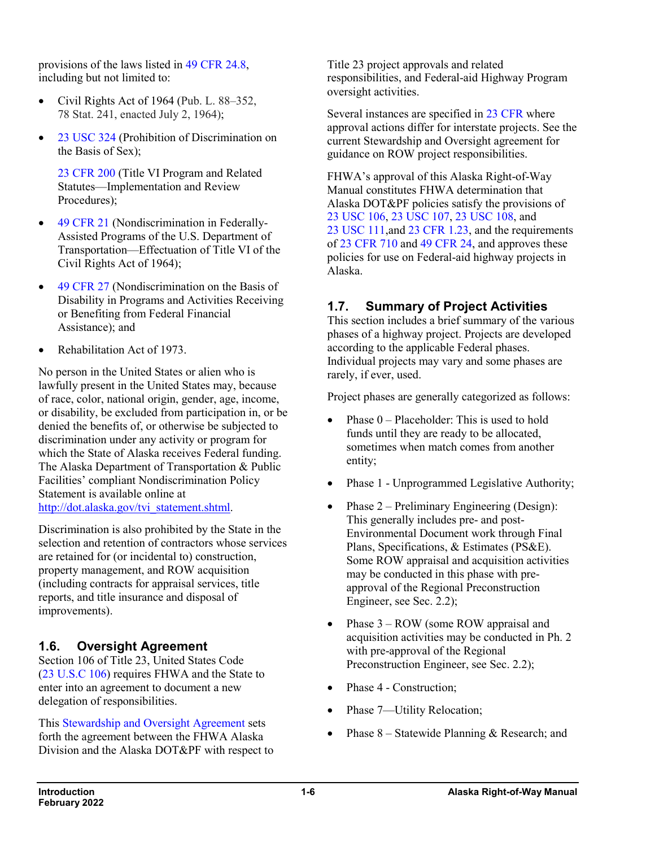provisions of the laws listed in 49 CFR [24.8,](http://www.ecfr.gov/cgi-bin/text-idx?SID=c06ac1c88e7a67323f2c3019301f3b3b&mc=true&node=pt49.1.24&rgn=div5#se49.1.24_18) including but not limited to:

- Civil Rights Act of 1964 (Pub. L. 88–352, 78 Stat. 241, enacted July 2, 1964);
- 23 [USC](http://uscode.house.gov/search/criteria.php) 324 (Prohibition of Discrimination on the Basis of Sex);

23 [CFR](http://www.ecfr.gov/cgi-bin/text-idx?SID=c06ac1c88e7a67323f2c3019301f3b3b&mc=true&node=pt23.1.200&rgn=div5) 200 (Title VI Program and Related Statutes—Implementation and Review Procedures);

- <span id="page-5-0"></span>• 49 [CFR](http://www.ecfr.gov/cgi-bin/text-idx?SID=c06ac1c88e7a67323f2c3019301f3b3b&mc=true&node=pt49.1.21&rgn=div5) 21 (Nondiscrimination in Federally-Assisted Programs of the U.S. Department of Transportation—Effectuation of Title VI of the Civil Rights Act of 1964);
- 49 [CFR](http://www.ecfr.gov/cgi-bin/text-idx?SID=c06ac1c88e7a67323f2c3019301f3b3b&mc=true&node=pt49.1.27&rgn=div5) 27 (Nondiscrimination on the Basis of Disability in Programs and Activities Receiving or Benefiting from Federal Financial Assistance); and
- Rehabilitation Act of 1973.

No person in the United States or alien who is lawfully present in the United States may, because of race, color, national origin, gender, age, income, or disability, be excluded from participation in, or be denied the benefits of, or otherwise be subjected to discrimination under any activity or program for which the State of Alaska receives Federal funding. The Alaska Department of Transportation & Public Facilities' compliant Nondiscrimination Policy Statement is available online at [http://dot.alaska.gov/tvi\\_statement.shtml.](http://dot.alaska.gov/tvi_statement.shtml)

Discrimination is also prohibited by the State in the selection and retention of contractors whose services are retained for (or incidental to) construction, property management, and ROW acquisition (including contracts for appraisal services, title reports, and title insurance and disposal of improvements).

# <span id="page-5-1"></span>**1.6. Oversight Agreement**

Section 106 of Title 23, United States Code (23 [U.S.C](http://uscode.house.gov/view.xhtml?req=(title:23%20section:106%20edition:prelim)%20OR%20(granuleid:USC-prelim-title23-section106)&f=treesort&edition=prelim&num=0&jumpTo=true) 106) requires FHWA and the State to enter into an agreement to document a new delegation of responsibilities.

This [Stewardship and Oversight Agreement](http://www.dot.state.ak.us/stwddes/dcspubs/assets/pdf/050115_fhwa_stwshp_ovrsite.pdf) sets forth the agreement between the FHWA Alaska Division and the Alaska DOT&PF with respect to Title 23 project approvals and related responsibilities, and Federal-aid Highway Program oversight activities.

Several instances are specified in 23 [CFR](https://www.ecfr.gov/cgi-bin/text-idx?gp=&SID=74f289766d47abeb0b24a35f5a624333&mc=true&tpl=/ecfrbrowse/Title23/23tab_02.tpl) where approval actions differ for interstate projects. See the current Stewardship and Oversight agreement for guidance on ROW project responsibilities.

FHWA's approval of this Alaska Right-of-Way Manual constitutes FHWA determination that Alaska DOT&PF policies satisfy the provisions of 23 [USC](http://uscode.house.gov/view.xhtml?req=(title:23%20section:106%20edition:prelim)%20OR%20(granuleid:USC-prelim-title23-section106)&f=treesort&edition=prelim&num=0&jumpTo=true) 106, 23 [USC](http://uscode.house.gov/view.xhtml?req=(title:23%20section:107%20edition:prelim)%20OR%20(granuleid:USC-prelim-title23-section107)&f=treesort&edition=prelim&num=0&jumpTo=true) 107, 23 [USC](http://uscode.house.gov/view.xhtml?req=(title:23%20section:108%20edition:prelim)%20OR%20(granuleid:USC-prelim-title23-section108)&f=treesort&edition=prelim&num=0&jumpTo=true) 108, and 23 [USC](http://uscode.house.gov/view.xhtml?req=(title:23%20section:111%20edition:prelim)%20OR%20(granuleid:USC-prelim-title23-section111)&f=treesort&edition=prelim&num=0&jumpTo=true) 111,and 23 CFR [1.23,](https://www.ecfr.gov/cgi-bin/text-idx?SID=74f289766d47abeb0b24a35f5a624333&mc=true&node=se23.1.1_123&rgn=div8) and the requirements of 23 [CFR](https://www.ecfr.gov/cgi-bin/text-idx?SID=e449d5c8226aac4bec1c4850d8760754&mc=true&node=pt23.1.710&rgn=div5#sp23.1.710.d) 710 and 49 [CFR](https://www.ecfr.gov/cgi-bin/text-idx?SID=74f289766d47abeb0b24a35f5a624333&mc=true&node=pt49.1.24&rgn=div5) 24, and approves these policies for use on Federal-aid highway projects in Alaska.

# <span id="page-5-2"></span>**1.7. Summary of Project Activities**

This section includes a brief summary of the various phases of a highway project. Projects are developed according to the applicable Federal phases. Individual projects may vary and some phases are rarely, if ever, used.

Project phases are generally categorized as follows:

- Phase  $0$  Placeholder: This is used to hold funds until they are ready to be allocated, sometimes when match comes from another entity;
- Phase 1 Unprogrammed Legislative Authority;
- Phase 2 Preliminary Engineering (Design): This generally includes pre- and post-Environmental Document work through Final Plans, Specifications, & Estimates (PS&E). Some ROW appraisal and acquisition activities may be conducted in this phase with preapproval of the Regional Preconstruction Engineer, see Sec. 2.2);
- Phase 3 ROW (some ROW appraisal and acquisition activities may be conducted in Ph. 2 with pre-approval of the Regional Preconstruction Engineer, see Sec. 2.2);
- Phase 4 Construction;
- Phase 7—Utility Relocation;
- Phase 8 Statewide Planning & Research; and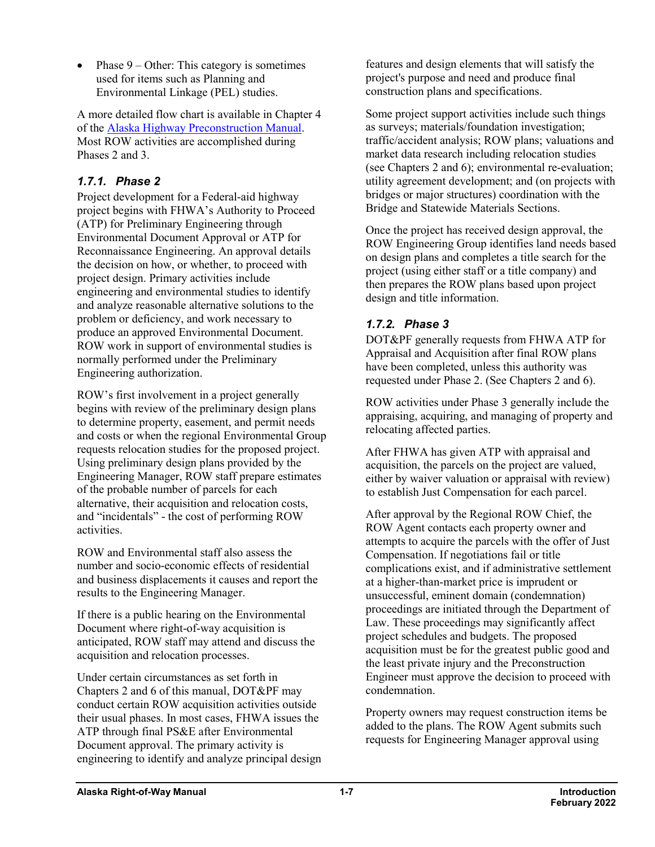Phase  $9 -$  Other: This category is sometimes used for items such as Planning and Environmental Linkage (PEL) studies.

A more detailed flow chart is available in Chapter 4 of the [Alaska Highway Preconstruction Manual.](http://www.dot.state.ak.us/stwddes/dcsprecon/assets/pdf/preconhwy/preconstruction_all.pdf) Most ROW activities are accomplished during Phases 2 and 3.

#### *1.7.1. Phase 2*

Project development for a Federal-aid highway project begins with FHWA's Authority to Proceed (ATP) for Preliminary Engineering through Environmental Document Approval or ATP for Reconnaissance Engineering. An approval details the decision on how, or whether, to proceed with project design. Primary activities include engineering and environmental studies to identify and analyze reasonable alternative solutions to the problem or deficiency, and work necessary to produce an approved Environmental Document. ROW work in support of environmental studies is normally performed under the Preliminary Engineering authorization.

ROW's first involvement in a project generally begins with review of the preliminary design plans to determine property, easement, and permit needs and costs or when the regional Environmental Group requests relocation studies for the proposed project. Using preliminary design plans provided by the Engineering Manager, ROW staff prepare estimates of the probable number of parcels for each alternative, their acquisition and relocation costs, and "incidentals" - the cost of performing ROW activities.

ROW and Environmental staff also assess the number and socio-economic effects of residential and business displacements it causes and report the results to the Engineering Manager.

If there is a public hearing on the Environmental Document where right-of-way acquisition is anticipated, ROW staff may attend and discuss the acquisition and relocation processes.

Under certain circumstances as set forth in Chapters 2 and 6 of this manual, DOT&PF may conduct certain ROW acquisition activities outside their usual phases. In most cases, FHWA issues the ATP through final PS&E after Environmental Document approval. The primary activity is engineering to identify and analyze principal design features and design elements that will satisfy the project's purpose and need and produce final construction plans and specifications.

Some project support activities include such things as surveys; materials/foundation investigation; traffic/accident analysis; ROW plans; valuations and market data research including relocation studies (see Chapters 2 and 6); environmental re-evaluation; utility agreement development; and (on projects with bridges or major structures) coordination with the Bridge and Statewide Materials Sections.

Once the project has received design approval, the ROW Engineering Group identifies land needs based on design plans and completes a title search for the project (using either staff or a title company) and then prepares the ROW plans based upon project design and title information.

# *1.7.2. Phase 3*

DOT&PF generally requests from FHWA ATP for Appraisal and Acquisition after final ROW plans have been completed, unless this authority was requested under Phase 2. (See Chapters 2 and 6).

ROW activities under Phase 3 generally include the appraising, acquiring, and managing of property and relocating affected parties.

After FHWA has given ATP with appraisal and acquisition, the parcels on the project are valued, either by waiver valuation or appraisal with review) to establish Just Compensation for each parcel.

After approval by the Regional ROW Chief, the ROW Agent contacts each property owner and attempts to acquire the parcels with the offer of Just Compensation. If negotiations fail or title complications exist, and if administrative settlement at a higher-than-market price is imprudent or unsuccessful, eminent domain (condemnation) proceedings are initiated through the Department of Law. These proceedings may significantly affect project schedules and budgets. The proposed acquisition must be for the greatest public good and the least private injury and the Preconstruction Engineer must approve the decision to proceed with condemnation.

Property owners may request construction items be added to the plans. The ROW Agent submits such requests for Engineering Manager approval using